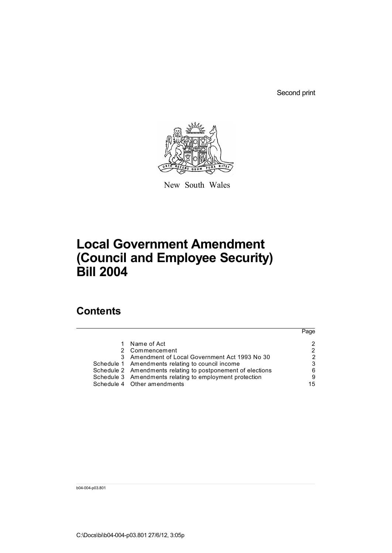Second print



New South Wales

# **Local Government Amendment (Council and Employee Security) Bill 2004**

## **Contents**

|                                                             | Page |
|-------------------------------------------------------------|------|
| Name of Act                                                 |      |
| 2 Commencement                                              |      |
| 3 Amendment of Local Government Act 1993 No 30              | 2    |
| Schedule 1 Amendments relating to council income            | 3    |
| Schedule 2 Amendments relating to postponement of elections | 6    |
| Schedule 3 Amendments relating to employment protection     | 9    |
| Schedule 4 Other amendments                                 | 15   |

b04-004-p03.801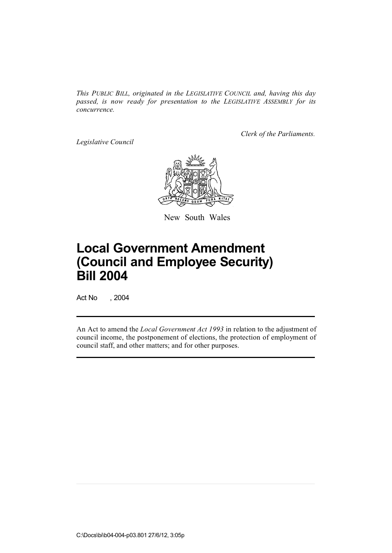*This PUBLIC BILL, originated in the LEGISLATIVE COUNCIL and, having this day passed, is now ready for presentation to the LEGISLATIVE ASSEMBLY for its concurrence.*

*Legislative Council*

*Clerk of the Parliaments.*



New South Wales

# **Local Government Amendment (Council and Employee Security) Bill 2004**

Act No , 2004

An Act to amend the *Local Government Act 1993* in relation to the adjustment of council income, the postponement of elections, the protection of employment of council staff, and other matters; and for other purposes.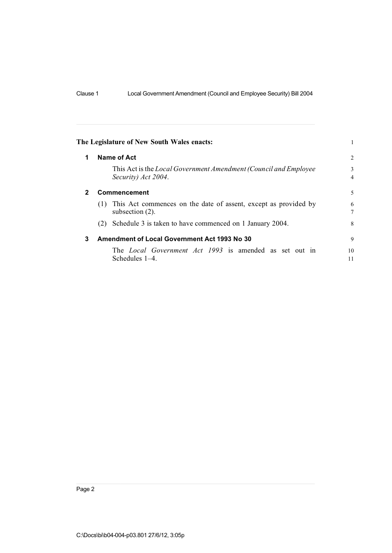| The Legislature of New South Wales enacts: |  |
|--------------------------------------------|--|
|--------------------------------------------|--|

| 1            | Name of Act                                                                                  |          |  |  |  |  |  |  |
|--------------|----------------------------------------------------------------------------------------------|----------|--|--|--|--|--|--|
|              | This Act is the Local Government Amendment (Council and Employee<br>Security) Act 2004.      |          |  |  |  |  |  |  |
| $\mathbf{2}$ | Commencement                                                                                 | 5        |  |  |  |  |  |  |
|              | This Act commences on the date of assent, except as provided by<br>(1)<br>subsection $(2)$ . | 6<br>7   |  |  |  |  |  |  |
|              | Schedule 3 is taken to have commenced on 1 January 2004.<br>(2)                              | 8        |  |  |  |  |  |  |
| 3            | <b>Amendment of Local Government Act 1993 No 30</b>                                          | 9        |  |  |  |  |  |  |
|              | The Local Government Act 1993 is amended as set out in<br>Schedules $1-4$ .                  | 10<br>11 |  |  |  |  |  |  |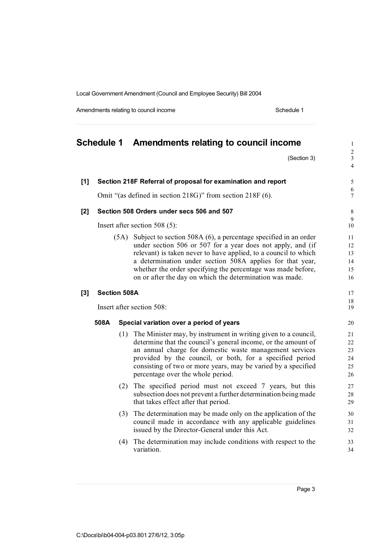Amendments relating to council income example of the Schedule 1 Schedule 1

# **Schedule 1 Amendments relating to council income** <sup>1</sup>

 $(Section 3)$ 

 $\frac{2}{3}$ 

4

| [1] | Section 218F Referral of proposal for examination and report |     |                                                                                                                                                                                                                                                                                                                                                              |                                  |  |  |  |  |  |
|-----|--------------------------------------------------------------|-----|--------------------------------------------------------------------------------------------------------------------------------------------------------------------------------------------------------------------------------------------------------------------------------------------------------------------------------------------------------------|----------------------------------|--|--|--|--|--|
|     | Omit "(as defined in section 218G)" from section 218F (6).   |     |                                                                                                                                                                                                                                                                                                                                                              |                                  |  |  |  |  |  |
| [2] |                                                              |     | Section 508 Orders under secs 506 and 507                                                                                                                                                                                                                                                                                                                    | $\,$ 8 $\,$                      |  |  |  |  |  |
|     |                                                              |     | Insert after section $508(5)$ :                                                                                                                                                                                                                                                                                                                              | $\mathfrak{g}$<br>10             |  |  |  |  |  |
|     |                                                              |     | (5A) Subject to section 508A (6), a percentage specified in an order<br>under section 506 or 507 for a year does not apply, and (if<br>relevant) is taken never to have applied, to a council to which<br>a determination under section 508A applies for that year,                                                                                          |                                  |  |  |  |  |  |
|     |                                                              |     | whether the order specifying the percentage was made before,<br>on or after the day on which the determination was made.                                                                                                                                                                                                                                     | 15<br>16                         |  |  |  |  |  |
| [3] | <b>Section 508A</b>                                          |     |                                                                                                                                                                                                                                                                                                                                                              | 17<br>18                         |  |  |  |  |  |
|     | Insert after section 508:                                    |     |                                                                                                                                                                                                                                                                                                                                                              |                                  |  |  |  |  |  |
|     | 508A                                                         |     | Special variation over a period of years                                                                                                                                                                                                                                                                                                                     | 20                               |  |  |  |  |  |
|     |                                                              | (1) | The Minister may, by instrument in writing given to a council,<br>determine that the council's general income, or the amount of<br>an annual charge for domestic waste management services<br>provided by the council, or both, for a specified period<br>consisting of two or more years, may be varied by a specified<br>percentage over the whole period. | 21<br>22<br>23<br>24<br>25<br>26 |  |  |  |  |  |
|     |                                                              | (2) | The specified period must not exceed 7 years, but this<br>subsection does not prevent a further determination being made<br>that takes effect after that period.                                                                                                                                                                                             | 27<br>28<br>29                   |  |  |  |  |  |
|     |                                                              | (3) | The determination may be made only on the application of the<br>council made in accordance with any applicable guidelines<br>issued by the Director-General under this Act.                                                                                                                                                                                  | 30<br>31<br>32                   |  |  |  |  |  |
|     |                                                              | (4) | The determination may include conditions with respect to the<br>variation.                                                                                                                                                                                                                                                                                   | 33<br>34                         |  |  |  |  |  |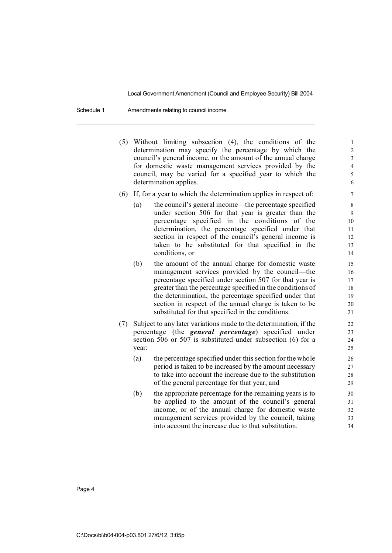Schedule 1 Amendments relating to council income

- (5) Without limiting subsection  $(4)$ , the conditions of the 1 determination may specify the percentage by which the 2 council's general income, or the amount of the annual charge  $\frac{3}{3}$ for domestic waste management services provided by the 4 council, may be varied for a specified year to which the 5 determination applies. 6
- (6) If, for a year to which the determination applies in respect of: 7
	- (a) the council's general income—the percentage specified 8 under section 506 for that year is greater than the 9 percentage specified in the conditions of the 10 determination, the percentage specified under that 11 section in respect of the council's general income is 12 taken to be substituted for that specified in the 13 conditions, or 14
	- (b) the amount of the annual charge for domestic waste 15 management services provided by the council—the 16 percentage specified under section 507 for that year is 17 greater than the percentage specified in the conditions of 18 the determination, the percentage specified under that 19 section in respect of the annual charge is taken to be 20 substituted for that specified in the conditions. 21
- (7) Subject to any later variations made to the determination, if the 22 percentage (the *general percentage*) specified under 23 section 506 or 507 is substituted under subsection (6) for a 24 year: 25
	- (a) the percentage specified under this section for the whole 26 period is taken to be increased by the amount necessary 27 to take into account the increase due to the substitution 28 of the general percentage for that year, and 29
	- (b) the appropriate percentage for the remaining years is to  $30$ be applied to the amount of the council's general 31 income, or of the annual charge for domestic waste 32 management services provided by the council, taking 33 into account the increase due to that substitution.  $34$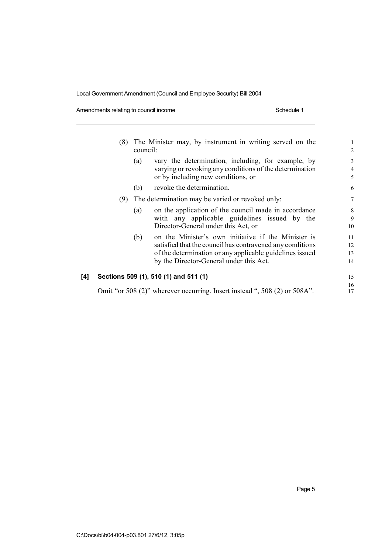Amendments relating to council income example of the Schedule 1 Schedule 1

|     | (8) | council: | The Minister may, by instrument in writing served on the                                                                                                                                                                | $\mathbf{1}$<br>$\overline{2}$ |
|-----|-----|----------|-------------------------------------------------------------------------------------------------------------------------------------------------------------------------------------------------------------------------|--------------------------------|
|     |     | (a)      | vary the determination, including, for example, by<br>varying or revoking any conditions of the determination<br>or by including new conditions, or                                                                     | 3<br>$\overline{4}$<br>5       |
|     |     | (b)      | revoke the determination.                                                                                                                                                                                               | 6                              |
|     | (9) |          | The determination may be varied or revoked only:                                                                                                                                                                        | 7                              |
|     |     | (a)      | on the application of the council made in accordance<br>with any applicable guidelines issued by the<br>Director-General under this Act, or                                                                             | 8<br>9<br>10                   |
|     |     | (b)      | on the Minister's own initiative if the Minister is<br>satisfied that the council has contravened any conditions<br>of the determination or any applicable guidelines issued<br>by the Director-General under this Act. | 11<br>12<br>13<br>14           |
| [4] |     |          | Sections 509 (1), 510 (1) and 511 (1)                                                                                                                                                                                   | 15                             |
|     |     |          | Omit "or 508 (2)" wherever occurring. Insert instead ", 508 (2) or 508A".                                                                                                                                               | 16<br>17                       |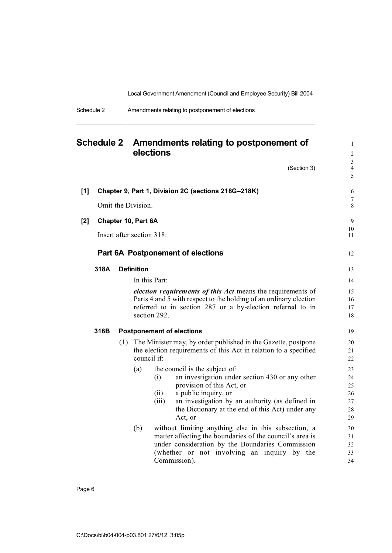| Schedule 2 | Amendments relating to postponement of elections |
|------------|--------------------------------------------------|
|------------|--------------------------------------------------|

| <b>Schedule 2</b> |      | Amendments relating to postponement of<br>elections |                     |                               |                                                                                                                                                                                                                                                          |                                        |
|-------------------|------|-----------------------------------------------------|---------------------|-------------------------------|----------------------------------------------------------------------------------------------------------------------------------------------------------------------------------------------------------------------------------------------------------|----------------------------------------|
|                   |      |                                                     |                     |                               | (Section 3)                                                                                                                                                                                                                                              | 3<br>$\overline{\mathcal{L}}$<br>5     |
| $[1]$             |      |                                                     | Omit the Division.  |                               | Chapter 9, Part 1, Division 2C (sections 218G-218K)                                                                                                                                                                                                      | 6<br>$\overline{7}$<br>8               |
| $[2]$             |      |                                                     | Chapter 10, Part 6A | Insert after section 318:     |                                                                                                                                                                                                                                                          | 9<br>10<br>11                          |
|                   | 318A |                                                     | <b>Definition</b>   |                               | Part 6A Postponement of elections                                                                                                                                                                                                                        | 12<br>13                               |
|                   |      |                                                     |                     | In this Part:<br>section 292. | <i>election requirements of this Act</i> means the requirements of<br>Parts 4 and 5 with respect to the holding of an ordinary election<br>referred to in section 287 or a by-election referred to in                                                    | 14<br>15<br>16<br>17<br>18             |
|                   | 318B |                                                     |                     |                               | <b>Postponement of elections</b>                                                                                                                                                                                                                         | 19                                     |
|                   |      |                                                     | council if:         |                               | (1) The Minister may, by order published in the Gazette, postpone<br>the election requirements of this Act in relation to a specified                                                                                                                    | 20<br>21<br>22                         |
|                   |      |                                                     | (a)                 | (i)<br>(ii)<br>(iii)          | the council is the subject of:<br>an investigation under section 430 or any other<br>provision of this Act, or<br>a public inquiry, or<br>an investigation by an authority (as defined in<br>the Dictionary at the end of this Act) under any<br>Act, or | 23<br>24<br>25<br>26<br>27<br>28<br>29 |
|                   |      |                                                     | (b)                 |                               | without limiting anything else in this subsection, a<br>matter affecting the boundaries of the council's area is<br>under consideration by the Boundaries Commission<br>(whether or not involving an inquiry by the<br>Commission).                      | 30<br>31<br>32<br>33<br>34             |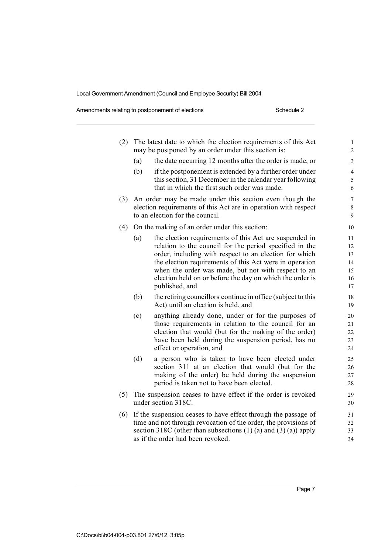Amendments relating to postponement of elections **Schedule 2** Schedule 2

| (2) | The latest date to which the election requirements of this Act<br>may be postponed by an order under this section is:                                                                                                                         |                                                                                                                                                                                                                                                                                                                                                                             |                                        |  |  |  |  |  |
|-----|-----------------------------------------------------------------------------------------------------------------------------------------------------------------------------------------------------------------------------------------------|-----------------------------------------------------------------------------------------------------------------------------------------------------------------------------------------------------------------------------------------------------------------------------------------------------------------------------------------------------------------------------|----------------------------------------|--|--|--|--|--|
|     | (a)                                                                                                                                                                                                                                           | the date occurring 12 months after the order is made, or                                                                                                                                                                                                                                                                                                                    | 3                                      |  |  |  |  |  |
|     | (b)                                                                                                                                                                                                                                           | if the postponement is extended by a further order under<br>this section, 31 December in the calendar year following<br>that in which the first such order was made.                                                                                                                                                                                                        | $\overline{4}$<br>$\sqrt{5}$<br>6      |  |  |  |  |  |
| (3) |                                                                                                                                                                                                                                               | An order may be made under this section even though the<br>election requirements of this Act are in operation with respect<br>to an election for the council.                                                                                                                                                                                                               | $\tau$<br>$8\,$<br>9                   |  |  |  |  |  |
| (4) |                                                                                                                                                                                                                                               | On the making of an order under this section:                                                                                                                                                                                                                                                                                                                               | 10                                     |  |  |  |  |  |
|     | (a)                                                                                                                                                                                                                                           | the election requirements of this Act are suspended in<br>relation to the council for the period specified in the<br>order, including with respect to an election for which<br>the election requirements of this Act were in operation<br>when the order was made, but not with respect to an<br>election held on or before the day on which the order is<br>published, and | 11<br>12<br>13<br>14<br>15<br>16<br>17 |  |  |  |  |  |
|     | (b)                                                                                                                                                                                                                                           | the retiring councillors continue in office (subject to this<br>Act) until an election is held, and                                                                                                                                                                                                                                                                         | $18\,$<br>19                           |  |  |  |  |  |
|     | (c)                                                                                                                                                                                                                                           | anything already done, under or for the purposes of<br>those requirements in relation to the council for an<br>election that would (but for the making of the order)<br>have been held during the suspension period, has no<br>effect or operation, and                                                                                                                     | 20<br>21<br>22<br>23<br>24             |  |  |  |  |  |
|     | (d)                                                                                                                                                                                                                                           | a person who is taken to have been elected under<br>section 311 at an election that would (but for the<br>making of the order) be held during the suspension<br>period is taken not to have been elected.                                                                                                                                                                   | 25<br>26<br>27<br>28                   |  |  |  |  |  |
| (5) |                                                                                                                                                                                                                                               | The suspension ceases to have effect if the order is revoked<br>under section 318C.                                                                                                                                                                                                                                                                                         | 29<br>30                               |  |  |  |  |  |
| (6) | If the suspension ceases to have effect through the passage of<br>time and not through revocation of the order, the provisions of<br>section 318C (other than subsections $(1)$ (a) and $(3)$ (a)) apply<br>as if the order had been revoked. |                                                                                                                                                                                                                                                                                                                                                                             |                                        |  |  |  |  |  |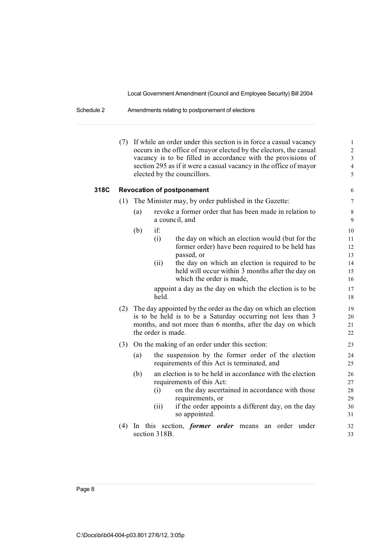### Schedule 2 Amendments relating to postponement of elections

|      |     | (7) If while an order under this section is in force a casual vacancy<br>occurs in the office of mayor elected by the electors, the casual<br>vacancy is to be filled in accordance with the provisions of<br>section 295 as if it were a casual vacancy in the office of mayor<br>elected by the councillors.                                      | $\mathbf{1}$<br>$\overline{c}$<br>$\mathfrak{Z}$<br>$\overline{4}$<br>5 |  |  |  |  |
|------|-----|-----------------------------------------------------------------------------------------------------------------------------------------------------------------------------------------------------------------------------------------------------------------------------------------------------------------------------------------------------|-------------------------------------------------------------------------|--|--|--|--|
| 318C |     | <b>Revocation of postponement</b>                                                                                                                                                                                                                                                                                                                   | 6                                                                       |  |  |  |  |
|      | (1) | The Minister may, by order published in the Gazette:                                                                                                                                                                                                                                                                                                | $\overline{7}$                                                          |  |  |  |  |
|      |     | revoke a former order that has been made in relation to<br>(a)<br>a council, and                                                                                                                                                                                                                                                                    | $\,8\,$<br>$\boldsymbol{9}$                                             |  |  |  |  |
|      |     | if:<br>(b)<br>(i)<br>the day on which an election would (but for the<br>former order) have been required to be held has<br>passed, or<br>the day on which an election is required to be<br>(ii)<br>held will occur within 3 months after the day on<br>which the order is made,<br>appoint a day as the day on which the election is to be<br>held. | 10<br>11<br>12<br>13<br>14<br>15<br>16<br>17<br>18                      |  |  |  |  |
|      |     | (2) The day appointed by the order as the day on which an election<br>is to be held is to be a Saturday occurring not less than 3<br>months, and not more than 6 months, after the day on which<br>the order is made.                                                                                                                               |                                                                         |  |  |  |  |
|      |     | (3) On the making of an order under this section:<br>the suspension by the former order of the election<br>(a)<br>requirements of this Act is terminated, and                                                                                                                                                                                       | 23<br>24<br>$25\,$                                                      |  |  |  |  |
|      |     | (b)<br>an election is to be held in accordance with the election<br>requirements of this Act:<br>on the day ascertained in accordance with those<br>(i)<br>requirements, or<br>if the order appoints a different day, on the day<br>(ii)<br>so appointed.                                                                                           | 26<br>27<br>28<br>29<br>30<br>31                                        |  |  |  |  |
|      | (4) | this section, <i>former order</i> means an order under<br>In<br>section 318B.                                                                                                                                                                                                                                                                       | 32<br>33                                                                |  |  |  |  |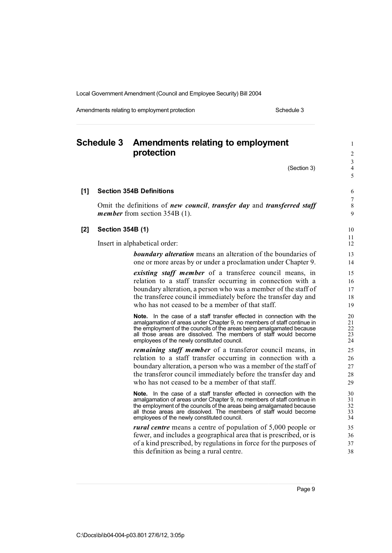Amendments relating to employment protection Schedule 3

### **Schedule 3 Amendments relating to employment** <sup>1</sup> **protection**  $\frac{3}{4}$ (Section 3) 5 **[1] Section 354B Definitions** 6 7 Omit the definitions of *new council*, *transfer day* and *transferred staff* 8 *member* from section 354B (1). 9 **[2] Section 354B (1)** 10  $\frac{11}{12}$ Insert in alphabetical order: **boundary alteration** means an alteration of the boundaries of 13 one or more areas by or under a proclamation under Chapter 9. 14 *existing staff member* of a transferee council means, in 15 relation to a staff transfer occurring in connection with a 16 boundary alteration, a person who was a member of the staff of 17 the transferee council immediately before the transfer day and 18 who has not ceased to be a member of that staff. 19 **Note.** In the case of a staff transfer effected in connection with the 20<br>amalgamation of areas under Chapter 9, no members of staff continue in 21 amalgamation of areas under Chapter 9, no members of staff continue in 21<br>the employment of the councils of the areas being amalgamated because 22 the employment of the councils of the areas being amalgamated because 22<br>all those areas are dissolved. The members of staff would become 23 all those areas are dissolved. The members of staff would become 23<br>employees of the newly constituted council. 24 employees of the newly constituted council. *remaining staff member* of a transferor council means, in 25 relation to a staff transfer occurring in connection with a 26 boundary alteration, a person who was a member of the staff of 27 the transferor council immediately before the transfer day and 28 who has not ceased to be a member of that staff. 29 **Note.** In the case of a staff transfer effected in connection with the  $30$  amalgamation of areas under Chapter 9, no members of staff continue in  $31$ amalgamation of areas under Chapter 9, no members of staff continue in 31<br>the employment of the councils of the areas being amalgamated because 32 the employment of the councils of the areas being amalgamated because 32<br>all those areas are dissolved. The members of staff would become all those areas are dissolved. The members of staff would become 33<br>employees of the newly constituted council employees of the newly constituted council. *rural centre* means a centre of population of 5,000 people or 35 fewer, and includes a geographical area that is prescribed, or is 36 of a kind prescribed, by regulations in force for the purposes of 37 this definition as being a rural centre. 38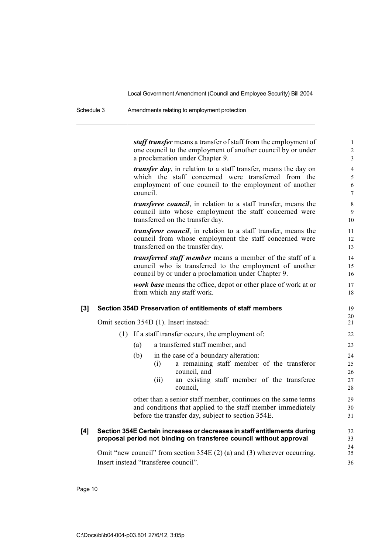Schedule 3 Amendments relating to employment protection

*staff transfer* means a transfer of staff from the employment of 1 one council to the employment of another council by or under 2 a proclamation under Chapter 9. 3

*transfer day*, in relation to a staff transfer, means the day on 4 which the staff concerned were transferred from the 5 employment of one council to the employment of another 6 council. The council of the council of the council of the council of the council of the council of the council of the council of the council of the council of the council of the council of the council of the council of the

*transferee council*, in relation to a staff transfer, means the 8 council into whose employment the staff concerned were 9 transferred on the transfer day. 10

*transferor council*, in relation to a staff transfer, means the 11 council from whose employment the staff concerned were 12 transferred on the transfer day. 13

*transferred staff member* means a member of the staff of a 14 council who is transferred to the employment of another 15 council by or under a proclamation under Chapter 9. 16

*work base* means the office, depot or other place of work at or 17 from which any staff work. 18

#### **[3] Section 354D Preservation of entitlements of staff members** 19

Omit section 354D (1). Insert instead:

#### (1) If a staff transfer occurs, the employment of: 22

- (a) a transferred staff member, and 23
- (b) in the case of a boundary alteration: 24 (i) a remaining staff member of the transferor 25

 $\frac{20}{21}$ 

34<br>35

- council, and 26 (ii) an existing staff member of the transferee 27
- council, 28

other than a senior staff member, continues on the same terms 29 and conditions that applied to the staff member immediately 30 before the transfer day, subject to section 354E. 31

#### **[4] Section 354E Certain increasesor decreases in staff entitlements during** 32 **proposal period not binding on transferee council without approval** 33

Omit "new council" from section  $354E(2)(a)$  and  $(3)$  wherever occurring. Insert instead "transferee council". 36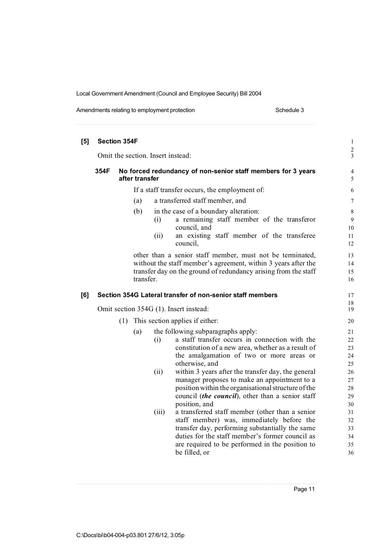Amendments relating to employment protection example 3 Schedule 3

| [5] | <b>Section 354F</b>                    |     |                |                                   |                                                                                              | $\,1$               |
|-----|----------------------------------------|-----|----------------|-----------------------------------|----------------------------------------------------------------------------------------------|---------------------|
|     |                                        |     |                | Omit the section. Insert instead: |                                                                                              | $\frac{2}{3}$       |
|     | 354F                                   |     | after transfer |                                   | No forced redundancy of non-senior staff members for 3 years                                 | $\overline{4}$<br>5 |
|     |                                        |     |                |                                   | If a staff transfer occurs, the employment of:                                               | 6                   |
|     |                                        |     | (a)            |                                   | a transferred staff member, and                                                              | $\tau$              |
|     |                                        |     | (b)            | (i)                               | in the case of a boundary alteration:<br>a remaining staff member of the transferor          | $\,$ 8 $\,$<br>9    |
|     |                                        |     |                | (ii)                              | council, and<br>an existing staff member of the transferee<br>council.                       | $10\,$<br>11<br>12  |
|     |                                        |     |                |                                   | other than a senior staff member, must not be terminated,                                    | 13                  |
|     |                                        |     |                |                                   | without the staff member's agreement, within 3 years after the                               | 14                  |
|     |                                        |     |                |                                   | transfer day on the ground of redundancy arising from the staff                              | 15                  |
|     |                                        |     | transfer.      |                                   |                                                                                              | 16                  |
| [6] |                                        |     |                |                                   | Section 354G Lateral transfer of non-senior staff members                                    | 17                  |
|     |                                        |     |                |                                   |                                                                                              | 18<br>19            |
|     | Omit section 354G (1). Insert instead: |     |                |                                   |                                                                                              |                     |
|     |                                        | (1) |                |                                   | This section applies if either:                                                              | 20                  |
|     |                                        |     | (a)            |                                   | the following subparagraphs apply:                                                           | 21                  |
|     |                                        |     |                | (i)                               | a staff transfer occurs in connection with the                                               | 22                  |
|     |                                        |     |                |                                   | constitution of a new area, whether as a result of                                           | 23                  |
|     |                                        |     |                |                                   | the amalgamation of two or more areas or                                                     | 24                  |
|     |                                        |     |                |                                   | otherwise, and                                                                               | 25                  |
|     |                                        |     |                | (ii)                              | within 3 years after the transfer day, the general                                           | 26                  |
|     |                                        |     |                |                                   | manager proposes to make an appointment to a                                                 | 27                  |
|     |                                        |     |                |                                   | position within the organisational structure of the                                          | 28                  |
|     |                                        |     |                |                                   | council <i>(the council)</i> , other than a senior staff                                     | 29                  |
|     |                                        |     |                |                                   | position, and                                                                                | 30                  |
|     |                                        |     |                | (iii)                             | a transferred staff member (other than a senior                                              | 31                  |
|     |                                        |     |                |                                   | staff member) was, immediately before the<br>transfer day, performing substantially the same | 32<br>33            |
|     |                                        |     |                |                                   | duties for the staff member's former council as                                              | 34                  |
|     |                                        |     |                |                                   | are required to be performed in the position to                                              | 35                  |
|     |                                        |     |                |                                   | be filled, or                                                                                | 36                  |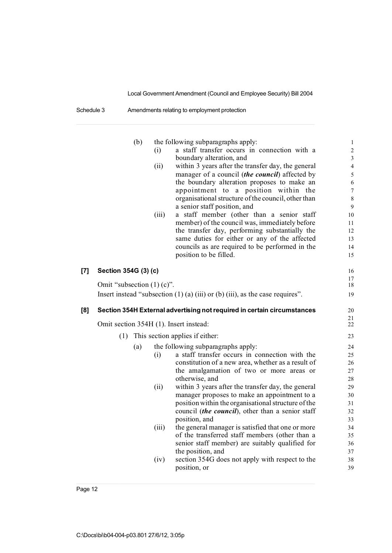Schedule 3 Amendments relating to employment protection

|     |                              | (b) |       | the following subparagraphs apply:                                                     | $\mathbf{1}$   |
|-----|------------------------------|-----|-------|----------------------------------------------------------------------------------------|----------------|
|     |                              |     | (i)   | a staff transfer occurs in connection with a                                           | $\overline{c}$ |
|     |                              |     |       | boundary alteration, and                                                               | $\overline{3}$ |
|     |                              |     | (ii)  | within 3 years after the transfer day, the general                                     | $\overline{4}$ |
|     |                              |     |       | manager of a council <i>(the council)</i> affected by                                  | 5              |
|     |                              |     |       | the boundary alteration proposes to make an                                            | 6              |
|     |                              |     |       | appointment to<br>a position within<br>the                                             | $\tau$         |
|     |                              |     |       | organisational structure of the council, other than                                    | 8              |
|     |                              |     |       | a senior staff position, and                                                           | 9              |
|     |                              |     | (iii) | a staff member (other than a senior staff                                              | 10             |
|     |                              |     |       | member) of the council was, immediately before                                         | 11             |
|     |                              |     |       | the transfer day, performing substantially the                                         | 12             |
|     |                              |     |       | same duties for either or any of the affected                                          | 13             |
|     |                              |     |       | councils as are required to be performed in the                                        | 14             |
|     |                              |     |       | position to be filled.                                                                 | 15             |
| [7] | Section 354G (3) (c)         |     |       |                                                                                        | 16             |
|     |                              |     |       |                                                                                        | 17             |
|     | Omit "subsection $(1)$ (c)". |     |       |                                                                                        | 18             |
|     |                              |     |       | Insert instead "subsection $(1)$ (a) $(iii)$ or $(b)$ $(iii)$ , as the case requires". | 19             |
| [8] |                              |     |       | Section 354H External advertising not required in certain circumstances                | 20             |
|     |                              |     |       | Omit section 354H (1). Insert instead:                                                 | 21<br>22       |
|     | (1)                          |     |       | This section applies if either:                                                        | 23             |
|     |                              | (a) |       | the following subparagraphs apply:                                                     | 24             |
|     |                              |     | (i)   | a staff transfer occurs in connection with the                                         | 25             |
|     |                              |     |       | constitution of a new area, whether as a result of                                     | 26             |
|     |                              |     |       | the amalgamation of two or more areas or                                               | 27             |
|     |                              |     |       | otherwise, and                                                                         | 28             |
|     |                              |     | (ii)  | within 3 years after the transfer day, the general                                     | 29             |
|     |                              |     |       | manager proposes to make an appointment to a                                           | 30             |
|     |                              |     |       | position within the organisational structure of the                                    | 31             |
|     |                              |     |       | council (the council), other than a senior staff                                       | 32             |
|     |                              |     |       | position, and                                                                          | 33             |
|     |                              |     | (iii) | the general manager is satisfied that one or more                                      | 34             |
|     |                              |     |       | of the transferred staff members (other than a                                         | 35             |
|     |                              |     |       |                                                                                        |                |
|     |                              |     |       | senior staff member) are suitably qualified for                                        | 36             |
|     |                              |     |       | the position, and                                                                      | 37             |
|     |                              |     | (iv)  | section 354G does not apply with respect to the                                        | 38             |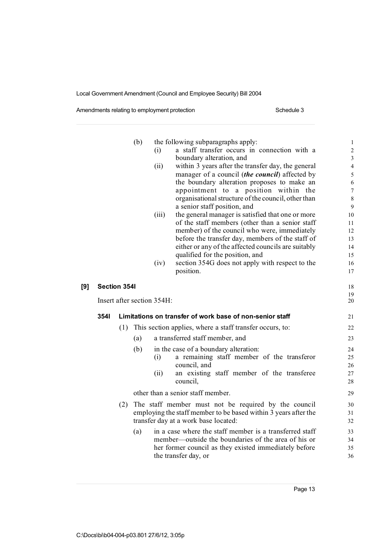Amendments relating to employment protection example 3 Schedule 3

|     |                            |     | (b) | (i)   | the following subparagraphs apply:<br>a staff transfer occurs in connection with a               | $\mathbf{1}$<br>$\overline{c}$ |
|-----|----------------------------|-----|-----|-------|--------------------------------------------------------------------------------------------------|--------------------------------|
|     |                            |     |     |       | boundary alteration, and                                                                         | $\sqrt{3}$                     |
|     |                            |     |     | (ii)  | within 3 years after the transfer day, the general                                               | $\overline{4}$                 |
|     |                            |     |     |       | manager of a council <i>(the council)</i> affected by                                            | 5                              |
|     |                            |     |     |       | the boundary alteration proposes to make an                                                      | 6                              |
|     |                            |     |     |       | appointment to a position within the                                                             | $\overline{7}$                 |
|     |                            |     |     |       | organisational structure of the council, other than                                              | 8                              |
|     |                            |     |     |       | a senior staff position, and                                                                     | 9                              |
|     |                            |     |     | (iii) | the general manager is satisfied that one or more                                                | 10                             |
|     |                            |     |     |       | of the staff members (other than a senior staff                                                  | 11                             |
|     |                            |     |     |       | member) of the council who were, immediately<br>before the transfer day, members of the staff of | 12<br>13                       |
|     |                            |     |     |       | either or any of the affected councils are suitably                                              | 14                             |
|     |                            |     |     |       | qualified for the position, and                                                                  | 15                             |
|     |                            |     |     | (iv)  | section 354G does not apply with respect to the                                                  | 16                             |
|     |                            |     |     |       | position.                                                                                        | 17                             |
| [9] | <b>Section 3541</b>        |     |     |       |                                                                                                  |                                |
|     | Insert after section 354H: |     |     |       |                                                                                                  | 19<br>20                       |
|     | 3541                       |     |     |       | Limitations on transfer of work base of non-senior staff                                         | 21                             |
|     |                            | (1) |     |       | This section applies, where a staff transfer occurs, to:                                         | 22                             |
|     |                            |     | (a) |       | a transferred staff member, and                                                                  | 23                             |
|     |                            |     | (b) |       | in the case of a boundary alteration:                                                            | 24                             |
|     |                            |     |     | (i)   | a remaining staff member of the transferor                                                       | 25                             |
|     |                            |     |     |       | council, and                                                                                     | 26                             |
|     |                            |     |     | (ii)  | an existing staff member of the transferee                                                       | 27                             |
|     |                            |     |     |       | council,                                                                                         | 28                             |
|     |                            |     |     |       | other than a senior staff member.                                                                | 29                             |
|     |                            | (2) |     |       | The staff member must not be required by the council                                             | 30                             |
|     |                            |     |     |       | employing the staff member to be based within 3 years after the                                  | 31                             |
|     |                            |     |     |       | transfer day at a work base located:                                                             | 32                             |
|     |                            |     | (a) |       | in a case where the staff member is a transferred staff                                          | 33                             |
|     |                            |     |     |       | member—outside the boundaries of the area of his or                                              | 34                             |
|     |                            |     |     |       | her former council as they existed immediately before                                            | 35                             |
|     |                            |     |     |       | the transfer day, or                                                                             | 36                             |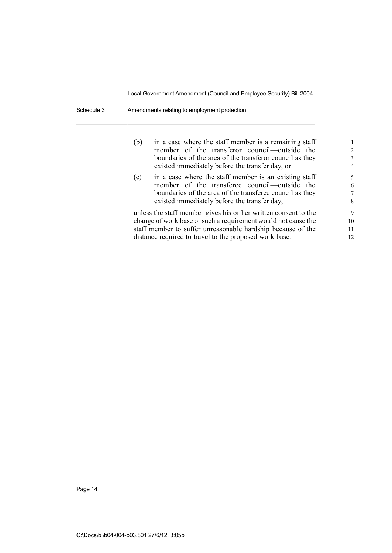Schedule 3 Amendments relating to employment protection

| (b)                                                                                                                                                                                                                                                       | in a case where the staff member is a remaining staff<br>member of the transferor council—outside the<br>boundaries of the area of the transferor council as they<br>existed immediately before the transfer day, or | $\mathfrak{D}$<br>3<br>$\overline{4}$ |
|-----------------------------------------------------------------------------------------------------------------------------------------------------------------------------------------------------------------------------------------------------------|----------------------------------------------------------------------------------------------------------------------------------------------------------------------------------------------------------------------|---------------------------------------|
| (c)                                                                                                                                                                                                                                                       | in a case where the staff member is an existing staff<br>member of the transferee council—outside the<br>boundaries of the area of the transferee council as they<br>existed immediately before the transfer day,    | 5<br>6<br>7<br>8                      |
| unless the staff member gives his or her written consent to the<br>change of work base or such a requirement would not cause the<br>staff member to suffer unreasonable hardship because of the<br>distance required to travel to the proposed work base. |                                                                                                                                                                                                                      |                                       |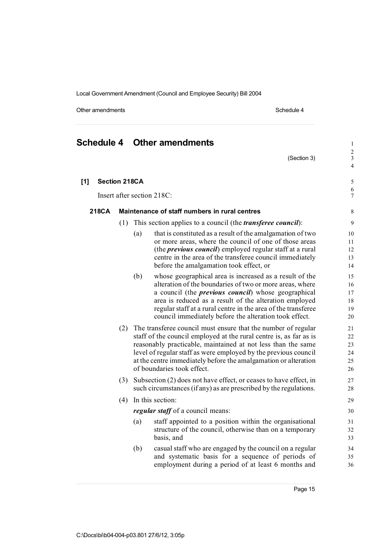Other amendments **Schedule 4** Schedule 4

(Section 3)

 $\frac{2}{3}$ 

4

 $\frac{6}{7}$ 

## **[1] Section 218CA** 5

Insert after section 218C:

#### **218CA Maintenance of staff numbers in rural centres** 8

- (1) This section applies to a council (the *transferee council*): 9
	- (a) that is constituted as a result of the amalgamation of two  $10$ or more areas, where the council of one of those areas 11 (the *previous council*) employed regular staff at a rural 12 centre in the area of the transferee council immediately 13 before the amalgamation took effect, or 14
	- (b) whose geographical area is increased as a result of the 15 alteration of the boundaries of two or more areas, where 16 a council (the *previous council*) whose geographical 17 area is reduced as a result of the alteration employed 18 regular staff at a rural centre in the area of the transferee 19 council immediately before the alteration took effect. 20
- (2) The transferee council must ensure that the number of regular 21 staff of the council employed at the rural centre is, as far as is 22 reasonably practicable, maintained at not less than the same 23 level of regular staff as were employed by the previous council 24 at the centre immediately before the amalgamation or alteration 25 of boundaries took effect. 26
- (3) Subsection (2) does not have effect, or ceases to have effect, in 27 such circumstances (if any) as are prescribed by the regulations. 28
- (4) In this section: 29 *regular staff* of a council means: 30
	- (a) staff appointed to a position within the organisational 31 structure of the council, otherwise than on a temporary 32 basis, and 33
	- (b) casual staff who are engaged by the council on a regular 34 and systematic basis for a sequence of periods of 35 employment during a period of at least 6 months and 36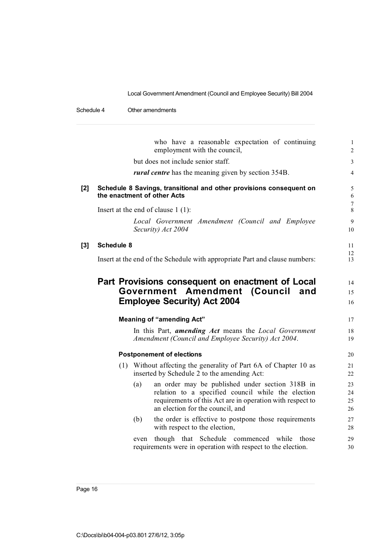#### Schedule 4 Other amendments

|       | who have a reasonable expectation of continuing<br>employment with the council,                                                                                                                               | $\mathbf{1}$<br>$\overline{2}$ |
|-------|---------------------------------------------------------------------------------------------------------------------------------------------------------------------------------------------------------------|--------------------------------|
|       | but does not include senior staff.                                                                                                                                                                            | $\mathfrak{Z}$                 |
|       | <i>rural centre</i> has the meaning given by section 354B.                                                                                                                                                    | 4                              |
| $[2]$ | Schedule 8 Savings, transitional and other provisions consequent on<br>the enactment of other Acts                                                                                                            | $\sqrt{5}$<br>6                |
|       | Insert at the end of clause $1(1)$ :                                                                                                                                                                          | $\tau$<br>8                    |
|       | Local Government Amendment (Council and Employee<br>Security) Act 2004                                                                                                                                        | 9<br>10                        |
| $[3]$ | <b>Schedule 8</b>                                                                                                                                                                                             | 11                             |
|       | Insert at the end of the Schedule with appropriate Part and clause numbers:                                                                                                                                   | 12<br>13                       |
|       | Government Amendment (Council and<br><b>Employee Security) Act 2004</b>                                                                                                                                       | 15                             |
|       |                                                                                                                                                                                                               | 16                             |
|       | <b>Meaning of "amending Act"</b><br>In this Part, <i>amending Act</i> means the <i>Local Government</i><br>Amendment (Council and Employee Security) Act 2004.                                                | 17<br>18<br>19                 |
|       | <b>Postponement of elections</b>                                                                                                                                                                              | 20                             |
|       | (1) Without affecting the generality of Part 6A of Chapter 10 as<br>inserted by Schedule 2 to the amending Act:                                                                                               | 21<br>22                       |
|       | an order may be published under section 318B in<br>(a)<br>relation to a specified council while the election<br>requirements of this Act are in operation with respect to<br>an election for the council, and | 23<br>24<br>25<br>26           |
|       | (b)<br>the order is effective to postpone those requirements<br>with respect to the election,                                                                                                                 | 27<br>28                       |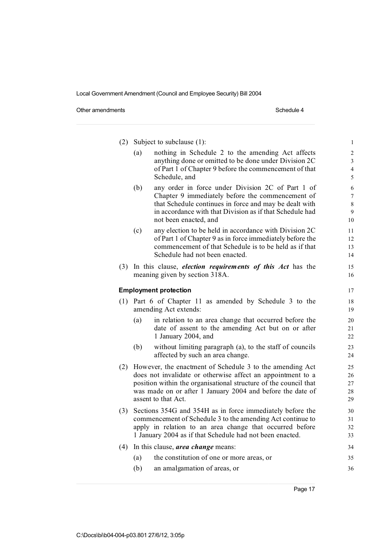Other amendments Schedule 4

| (2) | Subject to subclause (1):                                                                                                                                                                                                                                                        |                                                                                                                                                                                                                                                      | $\mathbf{1}$                                 |
|-----|----------------------------------------------------------------------------------------------------------------------------------------------------------------------------------------------------------------------------------------------------------------------------------|------------------------------------------------------------------------------------------------------------------------------------------------------------------------------------------------------------------------------------------------------|----------------------------------------------|
|     | (a)<br>Schedule, and                                                                                                                                                                                                                                                             | nothing in Schedule 2 to the amending Act affects<br>anything done or omitted to be done under Division 2C<br>of Part 1 of Chapter 9 before the commencement of that                                                                                 | $\boldsymbol{2}$<br>3<br>$\overline{4}$<br>5 |
|     | (b)                                                                                                                                                                                                                                                                              | any order in force under Division 2C of Part 1 of<br>Chapter 9 immediately before the commencement of<br>that Schedule continues in force and may be dealt with<br>in accordance with that Division as if that Schedule had<br>not been enacted, and | 6<br>$\tau$<br>$8\,$<br>9<br>10              |
|     | (c)                                                                                                                                                                                                                                                                              | any election to be held in accordance with Division 2C<br>of Part 1 of Chapter 9 as in force immediately before the<br>commencement of that Schedule is to be held as if that<br>Schedule had not been enacted.                                      | 11<br>12<br>13<br>14                         |
|     | meaning given by section 318A.                                                                                                                                                                                                                                                   | (3) In this clause, <i>election requirements of this Act</i> has the                                                                                                                                                                                 | 15<br>16                                     |
|     | <b>Employment protection</b>                                                                                                                                                                                                                                                     |                                                                                                                                                                                                                                                      | 17                                           |
|     | amending Act extends:                                                                                                                                                                                                                                                            | (1) Part 6 of Chapter 11 as amended by Schedule 3 to the                                                                                                                                                                                             | 18<br>19                                     |
|     | (a)<br>1 January 2004, and                                                                                                                                                                                                                                                       | in relation to an area change that occurred before the<br>date of assent to the amending Act but on or after                                                                                                                                         | 20<br>21<br>22                               |
|     | (b)                                                                                                                                                                                                                                                                              | without limiting paragraph (a), to the staff of councils<br>affected by such an area change.                                                                                                                                                         | 23<br>24                                     |
| (2) | However, the enactment of Schedule 3 to the amending Act<br>does not invalidate or otherwise affect an appointment to a<br>position within the organisational structure of the council that<br>was made on or after 1 January 2004 and before the date of<br>assent to that Act. |                                                                                                                                                                                                                                                      | 25<br>26<br>27<br>28<br>29                   |
| (3) |                                                                                                                                                                                                                                                                                  | Sections 354G and 354H as in force immediately before the<br>commencement of Schedule 3 to the amending Act continue to<br>apply in relation to an area change that occurred before<br>1 January 2004 as if that Schedule had not been enacted.      | 30<br>31<br>32<br>33                         |
| (4) | In this clause, area change means:                                                                                                                                                                                                                                               |                                                                                                                                                                                                                                                      | 34                                           |
|     | (a)                                                                                                                                                                                                                                                                              | the constitution of one or more areas, or                                                                                                                                                                                                            | 35                                           |
|     | (b)                                                                                                                                                                                                                                                                              | an amalgamation of areas, or                                                                                                                                                                                                                         | 36                                           |